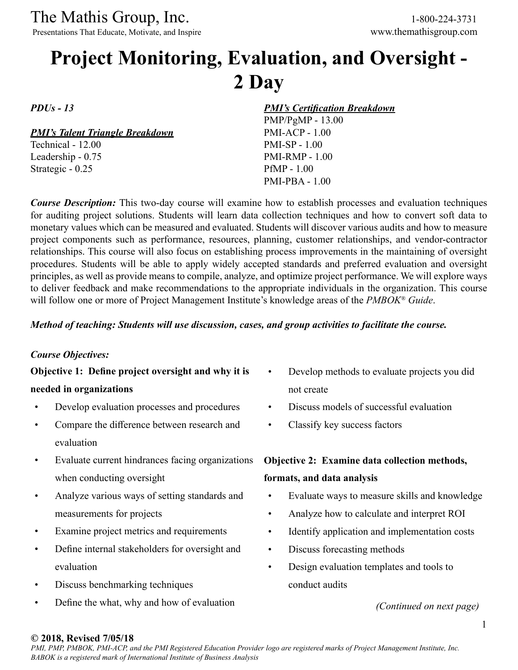Presentations That Educate, Motivate, and Inspire

# **Project Monitoring, Evaluation, and Oversight - 2 Day**

*PDUs - 13*

*PMI's Talent Triangle Breakdown*

Technical - 12.00 Leadership - 0.75 Strategic - 0.25

*PMI's Certification Breakdown*

PMP/PgMP - 13.00 PMI-ACP - 1.00 PMI-SP - 1.00 PMI-RMP - 1.00 PfMP - 1.00 PMI-PBA - 1.00

*Course Description:* This two-day course will examine how to establish processes and evaluation techniques for auditing project solutions. Students will learn data collection techniques and how to convert soft data to monetary values which can be measured and evaluated. Students will discover various audits and how to measure project components such as performance, resources, planning, customer relationships, and vendor-contractor relationships. This course will also focus on establishing process improvements in the maintaining of oversight procedures. Students will be able to apply widely accepted standards and preferred evaluation and oversight principles, as well as provide means to compile, analyze, and optimize project performance. We will explore ways to deliver feedback and make recommendations to the appropriate individuals in the organization. This course will follow one or more of Project Management Institute's knowledge areas of the *PMBOK® Guide*.

### *Method of teaching: Students will use discussion, cases, and group activities to facilitate the course.*

#### *Course Objectives:*

**Objective 1: Define project oversight and why it is needed in organizations**

- Develop evaluation processes and procedures
- Compare the difference between research and evaluation
- Evaluate current hindrances facing organizations when conducting oversight
- Analyze various ways of setting standards and measurements for projects
- Examine project metrics and requirements
- Define internal stakeholders for oversight and evaluation
- Discuss benchmarking techniques
- Define the what, why and how of evaluation
- Develop methods to evaluate projects you did not create
- Discuss models of successful evaluation
- Classify key success factors

# **Objective 2: Examine data collection methods,**

### **formats, and data analysis**

- Evaluate ways to measure skills and knowledge
- Analyze how to calculate and interpret ROI
- Identify application and implementation costs
- Discuss forecasting methods
- Design evaluation templates and tools to conduct audits

*(Continued on next page)*

#### **© 2018, Revised 7/05/18**